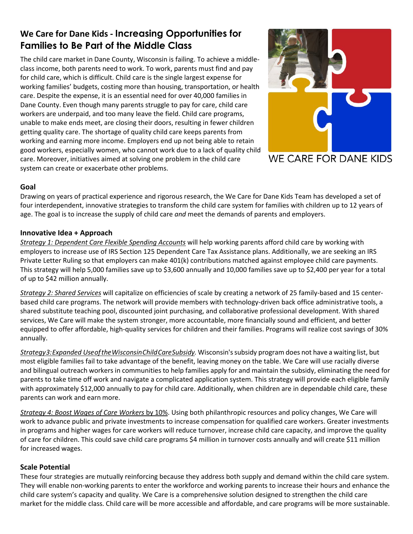# **We Care for Dane Kids - Increasing Opportunities for Families to Be Part of the Middle Class**

The child care market in Dane County, Wisconsin is failing. To achieve a middleclass income, both parents need to work. To work, parents must find and pay for child care, which is difficult. Child care is the single largest expense for working families' budgets, costing more than housing, transportation, or health care. Despite the expense, it is an essential need for over 40,000 families in Dane County. Even though many parents struggle to pay for care, child care workers are underpaid, and too many leave the field. Child care programs, unable to make ends meet, are closing their doors, resulting in fewer children getting quality care. The shortage of quality child care keeps parents from working and earning more income. Employers end up not being able to retain good workers, especially women, who cannot work due to a lack of quality child care. Moreover, initiatives aimed at solving one problem in the child care system can create or exacerbate other problems.



#### **Goal**

Drawing on years of practical experience and rigorous research, the We Care for Dane Kids Team has developed a set of four interdependent, innovative strategies to transform the child care system for families with children up to 12 years of age. The goal is to increase the supply of child care *and* meet the demands of parents and employers.

## **Innovative Idea + Approach**

*Strategy 1: Dependent Care Flexible Spending Accounts* will help working parents afford child care by working with employers to increase use of IRS Section 125 Dependent Care Tax Assistance plans. Additionally, we are seeking an IRS Private Letter Ruling so that employers can make 401(k) contributions matched against employee child care payments. This strategy will help 5,000 families save up to \$3,600 annually and 10,000 families save up to \$2,400 per year for a total of up to \$42 million annually.

*Strategy 2: Shared Services* will capitalize on efficiencies of scale by creating a network of 25 family-based and 15 centerbased child care programs. The network will provide members with technology-driven back office administrative tools, a shared substitute teaching pool, discounted joint purchasing, and collaborative professional development. With shared services, We Care will make the system stronger, more accountable, more financially sound and efficient, and better equipped to offer affordable, high-quality services for children and their families. Programs will realize cost savings of 30% annually.

*Strategy3:Expanded UseoftheWisconsinChildCareSubsidy.* Wisconsin'ssubsidy program does not have a waiting list, but most eligible families fail to take advantage of the benefit, leaving money on the table. We Care will use racially diverse and bilingual outreach workers in communities to help families apply for and maintain the subsidy, eliminating the need for parents to take time off work and navigate a complicated application system. This strategy will provide each eligible family with approximately \$12,000 annually to pay for child care. Additionally, when children are in dependable child care, these parents can work and earn more.

*Strategy 4: Boost Wages of Care Workers* by 10%. Using both philanthropic resources and policy changes, We Care will work to advance public and private investments to increase compensation for qualified care workers. Greater investments in programs and higher wages for care workers will reduce turnover, increase child care capacity, and improve the quality of care for children. This could save child care programs \$4 million in turnover costs annually and will create \$11 million for increased wages.

## **Scale Potential**

These four strategies are mutually reinforcing because they address both supply and demand within the child care system. They will enable non-working parents to enter the workforce and working parents to increase their hours and enhance the child care system's capacity and quality. We Care is a comprehensive solution designed to strengthen the child care market for the middle class. Child care will be more accessible and affordable, and care programs will be more sustainable.